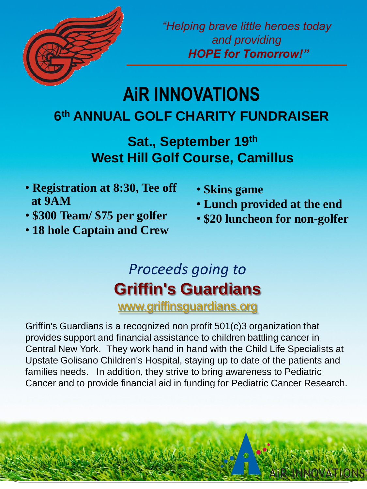

*"Helping brave little heroes today and providing HOPE for Tomorrow!"*

## **AiR INNOVATIONS 6 th ANNUAL GOLF CHARITY FUNDRAISER**

**Sat., September 19th West Hill Golf Course, Camillus**

- **Registration at 8:30, Tee off at 9AM**
- **\$300 Team/ \$75 per golfer**
- **18 hole Captain and Crew**
- **Skins game**
- **Lunch provided at the end**
- **\$20 luncheon for non-golfer**

## *Proceeds going to* **Griffin's Guardians** [www.griffinsguardians.org](http://www.griffinsguardians.org/)

Griffin's Guardians is a recognized non profit 501(c)3 organization that provides support and financial assistance to children battling cancer in Central New York. They work hand in hand with the Child Life Specialists at Upstate Golisano Children's Hospital, staying up to date of the patients and families needs. In addition, they strive to bring awareness to Pediatric Cancer and to provide financial aid in funding for Pediatric Cancer Research.